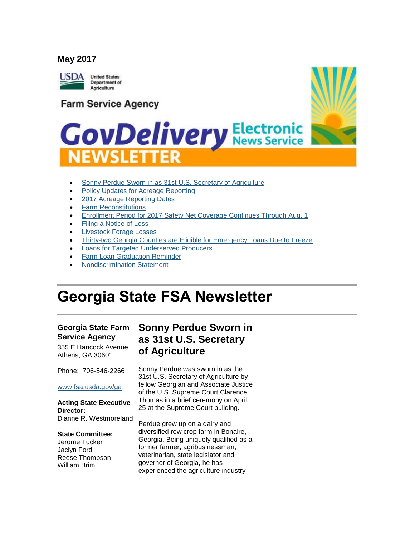#### **May 2017**



**Farm Service Agency** 



# **GovDelivery Electronic NEWSLETTER**

- [Sonny Perdue Sworn in as 31st U.S. Secretary of Agriculture](#page-0-0)
- [Policy Updates for Acreage Reporting](#page-1-0)
- [2017 Acreage Reporting Dates](#page-2-0)
- [Farm Reconstitutions](#page-3-0)
- [Enrollment Period for 2017 Safety Net Coverage Continues Through Aug. 1](#page-4-0)
- [Filing a Notice of Loss](#page-4-1)
- [Livestock Forage Losses](#page-4-2)
- [Thirty-two Georgia Counties are Eligible for Emergency Loans Due to Freeze](#page-5-0)
- [Loans for Targeted Underserved Producers](#page-6-0)
- [Farm Loan Graduation Reminder](#page-6-1)
- [Nondiscrimination Statement](#page-6-2)

## **Georgia State FSA Newsletter**

### **Georgia State Farm Service Agency**

355 E Hancock Avenue Athens, GA 30601

Phone: 706-546-2266

#### [www.fsa.usda.gov/ga](http://www.fsa.usda.gov/ga)

#### **Acting State Executive Director:**

Dianne R. Westmoreland

#### **State Committee:**

Jerome Tucker Jaclyn Ford Reese Thompson William Brim

### <span id="page-0-0"></span>**Sonny Perdue Sworn in as 31st U.S. Secretary of Agriculture**

Sonny Perdue was sworn in as the 31st U.S. Secretary of Agriculture by fellow Georgian and Associate Justice of the U.S. Supreme Court Clarence Thomas in a brief ceremony on April 25 at the Supreme Court building.

Perdue grew up on a dairy and diversified row crop farm in Bonaire, Georgia. Being uniquely qualified as a former farmer, agribusinessman, veterinarian, state legislator and governor of Georgia, he has experienced the agriculture industry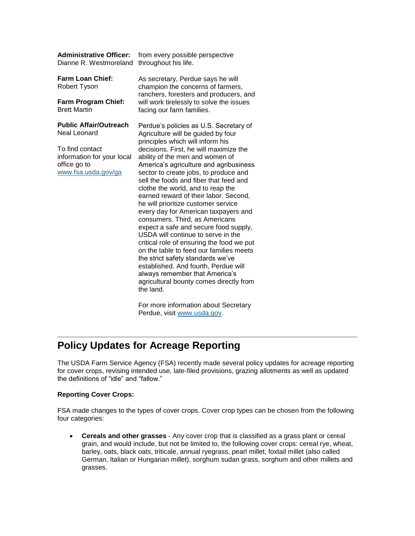| <b>Administrative Officer:</b><br>Dianne R. Westmoreland                             | from every possible perspective<br>throughout his life.                                                                                                                                                                                                                                                                                                                                                                                                                                                                                                                                                                                                                                                                                                                                 |
|--------------------------------------------------------------------------------------|-----------------------------------------------------------------------------------------------------------------------------------------------------------------------------------------------------------------------------------------------------------------------------------------------------------------------------------------------------------------------------------------------------------------------------------------------------------------------------------------------------------------------------------------------------------------------------------------------------------------------------------------------------------------------------------------------------------------------------------------------------------------------------------------|
| <b>Farm Loan Chief:</b><br>Robert Tyson                                              | As secretary, Perdue says he will<br>champion the concerns of farmers,<br>ranchers, foresters and producers, and<br>will work tirelessly to solve the issues<br>facing our farm families.                                                                                                                                                                                                                                                                                                                                                                                                                                                                                                                                                                                               |
| <b>Farm Program Chief:</b><br><b>Brett Martin</b>                                    |                                                                                                                                                                                                                                                                                                                                                                                                                                                                                                                                                                                                                                                                                                                                                                                         |
| <b>Public Affair/Outreach</b><br>Neal Leonard                                        | Perdue's policies as U.S. Secretary of<br>Agriculture will be guided by four                                                                                                                                                                                                                                                                                                                                                                                                                                                                                                                                                                                                                                                                                                            |
| To find contact<br>information for your local<br>office go to<br>www.fsa.usda.gov/ga | principles which will inform his<br>decisions. First, he will maximize the<br>ability of the men and women of<br>America's agriculture and agribusiness<br>sector to create jobs, to produce and<br>sell the foods and fiber that feed and<br>clothe the world, and to reap the<br>earned reward of their labor. Second,<br>he will prioritize customer service<br>every day for American taxpayers and<br>consumers. Third, as Americans<br>expect a safe and secure food supply,<br>USDA will continue to serve in the<br>critical role of ensuring the food we put<br>on the table to feed our families meets<br>the strict safety standards we've<br>established. And fourth, Perdue will<br>always remember that America's<br>agricultural bounty comes directly from<br>the land. |

For more information about Secretary Perdue, visit [www.usda.gov.](http://www.usda.gov/)

### <span id="page-1-0"></span>**Policy Updates for Acreage Reporting**

The USDA Farm Service Agency (FSA) recently made several policy updates for acreage reporting for cover crops, revising intended use, late-filed provisions, grazing allotments as well as updated the definitions of "idle" and "fallow."

#### **Reporting Cover Crops:**

FSA made changes to the types of cover crops. Cover crop types can be chosen from the following four categories:

 **Cereals and other grasses** - Any cover crop that is classified as a grass plant or cereal grain, and would include, but not be limited to, the following cover crops: cereal rye, wheat, barley, oats, black oats, triticale, annual ryegrass, pearl millet, foxtail millet (also called German, Italian or Hungarian millet), sorghum sudan grass, sorghum and other millets and grasses.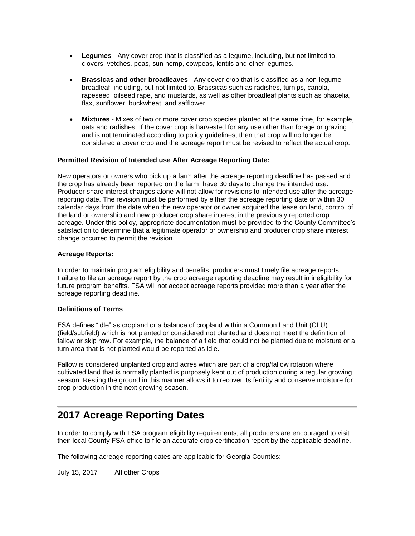- **Legumes** Any cover crop that is classified as a legume, including, but not limited to, clovers, vetches, peas, sun hemp, cowpeas, lentils and other legumes.
- **Brassicas and other broadleaves** Any cover crop that is classified as a non-legume broadleaf, including, but not limited to, Brassicas such as radishes, turnips, canola, rapeseed, oilseed rape, and mustards, as well as other broadleaf plants such as phacelia, flax, sunflower, buckwheat, and safflower.
- **Mixtures** Mixes of two or more cover crop species planted at the same time, for example, oats and radishes. If the cover crop is harvested for any use other than forage or grazing and is not terminated according to policy guidelines, then that crop will no longer be considered a cover crop and the acreage report must be revised to reflect the actual crop.

#### **Permitted Revision of Intended use After Acreage Reporting Date:**

New operators or owners who pick up a farm after the acreage reporting deadline has passed and the crop has already been reported on the farm, have 30 days to change the intended use. Producer share interest changes alone will not allow for revisions to intended use after the acreage reporting date. The revision must be performed by either the acreage reporting date or within 30 calendar days from the date when the new operator or owner acquired the lease on land, control of the land or ownership and new producer crop share interest in the previously reported crop acreage. Under this policy, appropriate documentation must be provided to the County Committee's satisfaction to determine that a legitimate operator or ownership and producer crop share interest change occurred to permit the revision.

#### **Acreage Reports:**

In order to maintain program eligibility and benefits, producers must timely file acreage reports. Failure to file an acreage report by the crop acreage reporting deadline may result in ineligibility for future program benefits. FSA will not accept acreage reports provided more than a year after the acreage reporting deadline.

#### **Definitions of Terms**

FSA defines "idle" as cropland or a balance of cropland within a Common Land Unit (CLU) (field/subfield) which is not planted or considered not planted and does not meet the definition of fallow or skip row. For example, the balance of a field that could not be planted due to moisture or a turn area that is not planted would be reported as idle.

Fallow is considered unplanted cropland acres which are part of a crop/fallow rotation where cultivated land that is normally planted is purposely kept out of production during a regular growing season. Resting the ground in this manner allows it to recover its fertility and conserve moisture for crop production in the next growing season.

### <span id="page-2-0"></span>**2017 Acreage Reporting Dates**

In order to comply with FSA program eligibility requirements, all producers are encouraged to visit their local County FSA office to file an accurate crop certification report by the applicable deadline.

The following acreage reporting dates are applicable for Georgia Counties:

July 15, 2017 All other Crops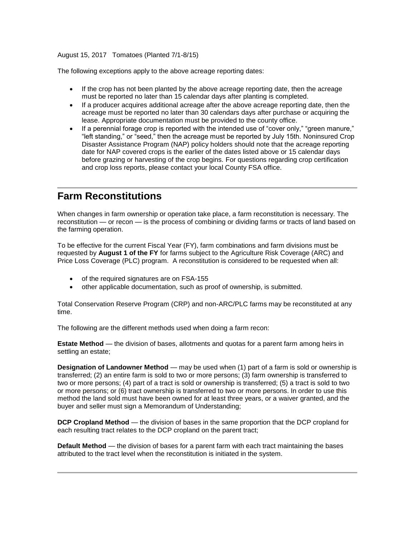#### August 15, 2017 Tomatoes (Planted 7/1-8/15)

The following exceptions apply to the above acreage reporting dates:

- If the crop has not been planted by the above acreage reporting date, then the acreage must be reported no later than 15 calendar days after planting is completed.
- If a producer acquires additional acreage after the above acreage reporting date, then the acreage must be reported no later than 30 calendars days after purchase or acquiring the lease. Appropriate documentation must be provided to the county office.
- If a perennial forage crop is reported with the intended use of "cover only," "green manure," "left standing," or "seed," then the acreage must be reported by July 15th. Noninsured Crop Disaster Assistance Program (NAP) policy holders should note that the acreage reporting date for NAP covered crops is the earlier of the dates listed above or 15 calendar days before grazing or harvesting of the crop begins. For questions regarding crop certification and crop loss reports, please contact your local County FSA office.

### <span id="page-3-0"></span>**Farm Reconstitutions**

When changes in farm ownership or operation take place, a farm reconstitution is necessary. The reconstitution — or recon — is the process of combining or dividing farms or tracts of land based on the farming operation.

To be effective for the current Fiscal Year (FY), farm combinations and farm divisions must be requested by **August 1 of the FY** for farms subject to the Agriculture Risk Coverage (ARC) and Price Loss Coverage (PLC) program. A reconstitution is considered to be requested when all:

- of the required signatures are on FSA-155
- other applicable documentation, such as proof of ownership, is submitted.

Total Conservation Reserve Program (CRP) and non-ARC/PLC farms may be reconstituted at any time.

The following are the different methods used when doing a farm recon:

**Estate Method** — the division of bases, allotments and quotas for a parent farm among heirs in settling an estate;

**Designation of Landowner Method** — may be used when (1) part of a farm is sold or ownership is transferred; (2) an entire farm is sold to two or more persons; (3) farm ownership is transferred to two or more persons; (4) part of a tract is sold or ownership is transferred; (5) a tract is sold to two or more persons; or (6) tract ownership is transferred to two or more persons. In order to use this method the land sold must have been owned for at least three years, or a waiver granted, and the buyer and seller must sign a Memorandum of Understanding;

**DCP Cropland Method** — the division of bases in the same proportion that the DCP cropland for each resulting tract relates to the DCP cropland on the parent tract;

**Default Method** — the division of bases for a parent farm with each tract maintaining the bases attributed to the tract level when the reconstitution is initiated in the system.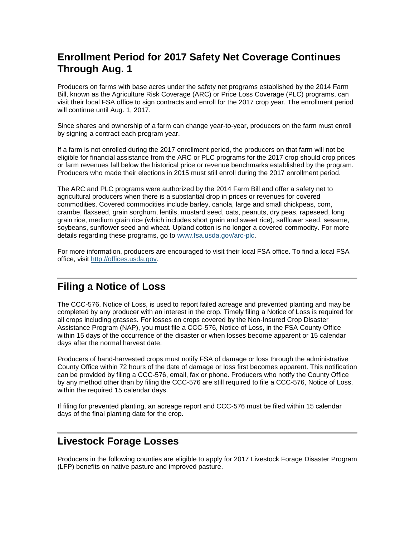### <span id="page-4-0"></span>**Enrollment Period for 2017 Safety Net Coverage Continues Through Aug. 1**

Producers on farms with base acres under the safety net programs established by the 2014 Farm Bill, known as the Agriculture Risk Coverage (ARC) or Price Loss Coverage (PLC) programs, can visit their local FSA office to sign contracts and enroll for the 2017 crop year. The enrollment period will continue until Aug. 1, 2017.

Since shares and ownership of a farm can change year-to-year, producers on the farm must enroll by signing a contract each program year.

If a farm is not enrolled during the 2017 enrollment period, the producers on that farm will not be eligible for financial assistance from the ARC or PLC programs for the 2017 crop should crop prices or farm revenues fall below the historical price or revenue benchmarks established by the program. Producers who made their elections in 2015 must still enroll during the 2017 enrollment period.

The ARC and PLC programs were authorized by the 2014 Farm Bill and offer a safety net to agricultural producers when there is a substantial drop in prices or revenues for covered commodities. Covered commodities include barley, canola, large and small chickpeas, corn, crambe, flaxseed, grain sorghum, lentils, mustard seed, oats, peanuts, dry peas, rapeseed, long grain rice, medium grain rice (which includes short grain and sweet rice), safflower seed, sesame, soybeans, sunflower seed and wheat. Upland cotton is no longer a covered commodity. For more details regarding these programs, go to [www.fsa.usda.gov/arc-plc.](http://www.fsa.usda.gov/arc-plc)

For more information, producers are encouraged to visit their local FSA office. To find a local FSA office, visit [http://offices.usda.gov.](http://offices.usda.gov/)

### <span id="page-4-1"></span>**Filing a Notice of Loss**

The CCC-576, Notice of Loss, is used to report failed acreage and prevented planting and may be completed by any producer with an interest in the crop. Timely filing a Notice of Loss is required for all crops including grasses. For losses on crops covered by the Non-Insured Crop Disaster Assistance Program (NAP), you must file a CCC-576, Notice of Loss, in the FSA County Office within 15 days of the occurrence of the disaster or when losses become apparent or 15 calendar days after the normal harvest date.

Producers of hand-harvested crops must notify FSA of damage or loss through the administrative County Office within 72 hours of the date of damage or loss first becomes apparent. This notification can be provided by filing a CCC-576, email, fax or phone. Producers who notify the County Office by any method other than by filing the CCC-576 are still required to file a CCC-576, Notice of Loss, within the required 15 calendar days.

If filing for prevented planting, an acreage report and CCC-576 must be filed within 15 calendar days of the final planting date for the crop.

### <span id="page-4-2"></span>**Livestock Forage Losses**

Producers in the following counties are eligible to apply for 2017 Livestock Forage Disaster Program (LFP) benefits on native pasture and improved pasture.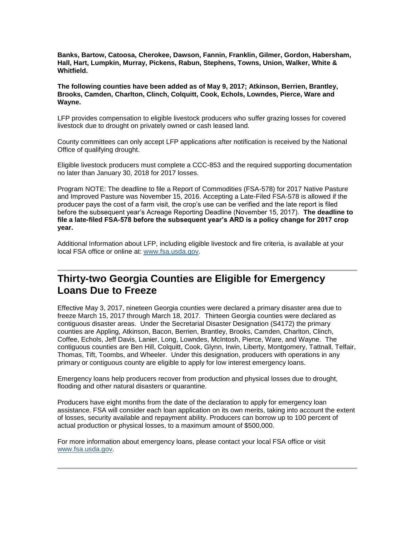**Banks, Bartow, Catoosa, Cherokee, Dawson, Fannin, Franklin, Gilmer, Gordon, Habersham, Hall, Hart, Lumpkin, Murray, Pickens, Rabun, Stephens, Towns, Union, Walker, White & Whitfield.** 

**The following counties have been added as of May 9, 2017; Atkinson, Berrien, Brantley, Brooks, Camden, Charlton, Clinch, Colquitt, Cook, Echols, Lowndes, Pierce, Ware and Wayne.**

LFP provides compensation to eligible livestock producers who suffer grazing losses for covered livestock due to drought on privately owned or cash leased land.

County committees can only accept LFP applications after notification is received by the National Office of qualifying drought.

Eligible livestock producers must complete a CCC-853 and the required supporting documentation no later than January 30, 2018 for 2017 losses.

Program NOTE: The deadline to file a Report of Commodities (FSA-578) for 2017 Native Pasture and Improved Pasture was November 15, 2016. Accepting a Late-Filed FSA-578 is allowed if the producer pays the cost of a farm visit, the crop's use can be verified and the late report is filed before the subsequent year's Acreage Reporting Deadline (November 15, 2017). **The deadline to file a late-filed FSA-578 before the subsequent year's ARD is a policy change for 2017 crop year.**

Additional Information about LFP, including eligible livestock and fire criteria, is available at your local FSA office or online at: [www.fsa.usda.gov.](http://www.fsa.usda.gov/)

### <span id="page-5-0"></span>**Thirty-two Georgia Counties are Eligible for Emergency Loans Due to Freeze**

Effective May 3, 2017, nineteen Georgia counties were declared a primary disaster area due to freeze March 15, 2017 through March 18, 2017. Thirteen Georgia counties were declared as contiguous disaster areas. Under the Secretarial Disaster Designation (S4172) the primary counties are Appling, Atkinson, Bacon, Berrien, Brantley, Brooks, Camden, Charlton, Clinch, Coffee, Echols, Jeff Davis, Lanier, Long, Lowndes, McIntosh, Pierce, Ware, and Wayne. The contiguous counties are Ben Hill, Colquitt, Cook, Glynn, Irwin, Liberty, Montgomery, Tattnall, Telfair, Thomas, Tift, Toombs, and Wheeler. Under this designation, producers with operations in any primary or contiguous county are eligible to apply for low interest emergency loans.

Emergency loans help producers recover from production and physical losses due to drought, flooding and other natural disasters or quarantine.

Producers have eight months from the date of the declaration to apply for emergency loan assistance. FSA will consider each loan application on its own merits, taking into account the extent of losses, security available and repayment ability. Producers can borrow up to 100 percent of actual production or physical losses, to a maximum amount of \$500,000.

For more information about emergency loans, please contact your local FSA office or visit [www.fsa.usda.gov.](http://www.fsa.usda.gov/)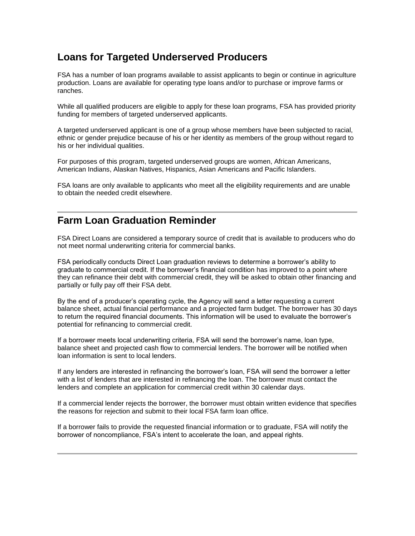### <span id="page-6-0"></span>**Loans for Targeted Underserved Producers**

FSA has a number of loan programs available to assist applicants to begin or continue in agriculture production. Loans are available for operating type loans and/or to purchase or improve farms or ranches.

While all qualified producers are eligible to apply for these loan programs, FSA has provided priority funding for members of targeted underserved applicants.

A targeted underserved applicant is one of a group whose members have been subjected to racial, ethnic or gender prejudice because of his or her identity as members of the group without regard to his or her individual qualities.

For purposes of this program, targeted underserved groups are women, African Americans, American Indians, Alaskan Natives, Hispanics, Asian Americans and Pacific Islanders.

FSA loans are only available to applicants who meet all the eligibility requirements and are unable to obtain the needed credit elsewhere.

### <span id="page-6-1"></span>**Farm Loan Graduation Reminder**

FSA Direct Loans are considered a temporary source of credit that is available to producers who do not meet normal underwriting criteria for commercial banks.

FSA periodically conducts Direct Loan graduation reviews to determine a borrower's ability to graduate to commercial credit. If the borrower's financial condition has improved to a point where they can refinance their debt with commercial credit, they will be asked to obtain other financing and partially or fully pay off their FSA debt.

By the end of a producer's operating cycle, the Agency will send a letter requesting a current balance sheet, actual financial performance and a projected farm budget. The borrower has 30 days to return the required financial documents. This information will be used to evaluate the borrower's potential for refinancing to commercial credit.

If a borrower meets local underwriting criteria, FSA will send the borrower's name, loan type, balance sheet and projected cash flow to commercial lenders. The borrower will be notified when loan information is sent to local lenders.

If any lenders are interested in refinancing the borrower's loan, FSA will send the borrower a letter with a list of lenders that are interested in refinancing the loan. The borrower must contact the lenders and complete an application for commercial credit within 30 calendar days.

If a commercial lender rejects the borrower, the borrower must obtain written evidence that specifies the reasons for rejection and submit to their local FSA farm loan office.

<span id="page-6-2"></span>If a borrower fails to provide the requested financial information or to graduate, FSA will notify the borrower of noncompliance, FSA's intent to accelerate the loan, and appeal rights.